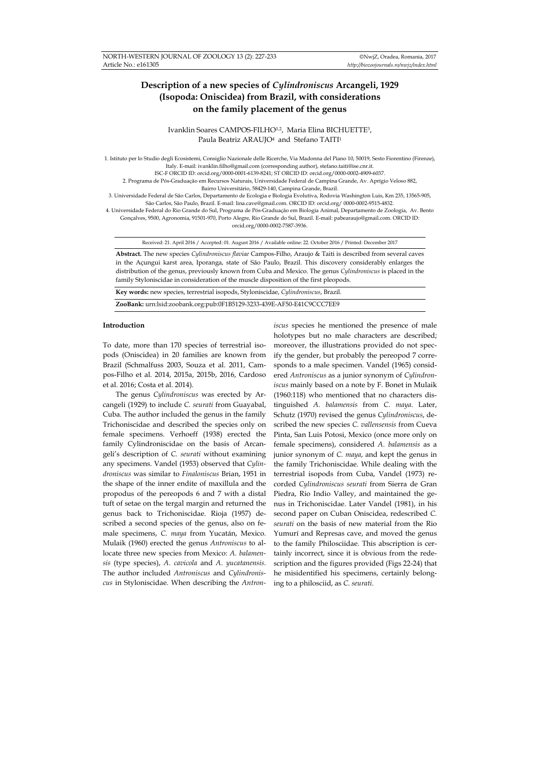# **Description of a new species of** *Cylindroniscus* **Arcangeli, 1929 (Isopoda: Oniscidea) from Brazil, with considerations on the family placement of the genus**

Ivanklin Soares CAMPOS-FILHO<sup>1,2</sup>, Maria Elina BICHUETTE<sup>3</sup>, Paula Beatriz ARAUJO<sup>4</sup> and Stefano TAITI<sup>1</sup>

1. Istituto per lo Studio degli Ecosistemi, Consiglio Nazionale delle Ricerche, Via Madonna del Piano 10, 50019, Sesto Fiorentino (Firenze), Italy. E-mail: ivanklin.filho@gmail.com (corresponding author), stefano.taiti@ise.cnr.it. ISC-F ORCID ID: orcid.org/0000-0001-6139-8241; ST ORCID ID: orcid.org/0000-0002-4909-6037.

2. Programa de Pós-Graduação em Recursos Naturais, Universidade Federal de Campina Grande, Av. Aprígio Veloso 882,

Bairro Universitário, 58429-140, Campina Grande, Brazil.

3. Universidade Federal de São Carlos, Departamento de Ecologia e Biologia Evolutiva, Rodovia Washington Luis, Km 235, 13565-905, São Carlos, São Paulo, Brazil. E-mail: lina.cave@gmail.com. ORCID ID: orcid.org/ 0000-0002-9515-4832.

4. Universidade Federal do Rio Grande do Sul, Programa de Pós-Graduação em Biologia Animal, Departamento de Zoologia, Av. Bento Gonçalves, 9500, Agronomia, 91501-970, Porto Alegre, Rio Grande do Sul, Brazil. E-mail: pabearaujo@gmail.com. ORCID ID:

orcid.org/0000-0002-7587-3936.

Received: 21. April 2016 / Accepted: 01. August 2016 / Available online: 22. October 2016 / Printed: December 2017

**Abstract.** The new species *Cylindroniscus flaviae* Campos-Filho, Araujo & Taiti is described from several caves in the Açungui karst area, Iporanga, state of São Paulo, Brazil. This discovery considerably enlarges the distribution of the genus, previously known from Cuba and Mexico. The genus *Cylindroniscus* is placed in the family Styloniscidae in consideration of the muscle disposition of the first pleopods.

**Key words:** new species, terrestrial isopods, Styloniscidae, *Cylindroniscus*, Brazil. **ZooBank:** urn:lsid:zoobank.org:pub:0F1B5129-3233-439E-AF50-E41C9CCC7EE9

### **Introduction**

To date, more than 170 species of terrestrial isopods (Oniscidea) in 20 families are known from Brazil (Schmalfuss 2003, Souza et al. 2011, Campos-Filho et al. 2014, 2015a, 2015b, 2016, Cardoso et al. 2016; Costa et al. 2014).

The genus *Cylindroniscus* was erected by Arcangeli (1929) to include *C. seurati* from Guayabal, Cuba. The author included the genus in the family Trichoniscidae and described the species only on female specimens. Verhoeff (1938) erected the family Cylindroniscidae on the basis of Arcangeli's description of *C. seurati* without examining any specimens. Vandel (1953) observed that *Cylindroniscus* was similar to *Finaloniscus* Brian, 1951 in the shape of the inner endite of maxillula and the propodus of the pereopods 6 and 7 with a distal tuft of setae on the tergal margin and returned the genus back to Trichoniscidae. Rioja (1957) described a second species of the genus, also on female specimens, *C. maya* from Yucatán, Mexico. Mulaik (1960) erected the genus *Antroniscus* to allocate three new species from Mexico: *A. balamensis* (type species), *A. cavicola* and *A. yucatanensis*. The author included *Antroniscus* and *Cylindroniscus* in Styloniscidae. When describing the *Antron-*

*iscus* species he mentioned the presence of male holotypes but no male characters are described; moreover, the illustrations provided do not specify the gender, but probably the pereopod 7 corresponds to a male specimen. Vandel (1965) considered *Antroniscus* as a junior synonym of *Cylindroniscus* mainly based on a note by F. Bonet in Mulaik (1960:118) who mentioned that no characters distinguished *A. balamensis* from *C. maya*. Later, Schutz (1970) revised the genus *Cylindroniscus*, described the new species *C. vallensensis* from Cueva Pinta, San Luis Potosi, Mexico (once more only on female specimens), considered *A. balamensis* as a junior synonym of *C. maya*, and kept the genus in the family Trichoniscidae. While dealing with the terrestrial isopods from Cuba, Vandel (1973) recorded *Cylindroniscus seurati* from Sierra de Gran Piedra, Rio Indio Valley, and maintained the genus in Trichoniscidae. Later Vandel (1981), in his second paper on Cuban Oniscidea, redescribed *C. seurati* on the basis of new material from the Rio Yumurí and Represas cave, and moved the genus to the family Philosciidae. This abscription is certainly incorrect, since it is obvious from the redescription and the figures provided (Figs 22-24) that he misidentified his specimens, certainly belonging to a philosciid, as *C. seurati*.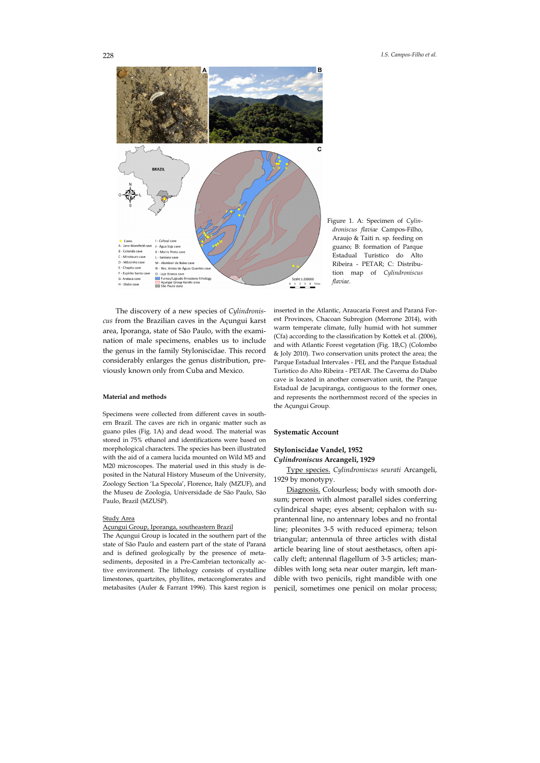

Figure 1. A: Specimen of *Cylindroniscus flaviae* Campos-Filho, Araujo & Taiti n. sp. feeding on guano; B: formation of Parque Estadual Turístico do Alto Ribeira - PETAR; C: Distribution map of *Cylindroniscus flaviae*.

The discovery of a new species of *Cylindroniscus* from the Brazilian caves in the Açungui karst area, Iporanga, state of São Paulo, with the examination of male specimens, enables us to include the genus in the family Styloniscidae. This record considerably enlarges the genus distribution, previously known only from Cuba and Mexico.

### **Material and methods**

Specimens were collected from different caves in southern Brazil. The caves are rich in organic matter such as guano piles (Fig. 1A) and dead wood. The material was stored in 75% ethanol and identifications were based on morphological characters. The species has been illustrated with the aid of a camera lucida mounted on Wild M5 and M20 microscopes. The material used in this study is deposited in the Natural History Museum of the University, Zoology Section 'La Specola', Florence, Italy (MZUF), and the Museu de Zoologia, Universidade de São Paulo, São Paulo, Brazil (MZUSP).

#### Study Area

### Açungui Group, Iporanga, southeastern Brazil

The Açungui Group is located in the southern part of the state of São Paulo and eastern part of the state of Paraná and is defined geologically by the presence of metasediments, deposited in a Pre-Cambrian tectonically active environment. The lithology consists of crystalline limestones, quartzites, phyllites, metaconglomerates and metabasites (Auler & Farrant 1996). This karst region is inserted in the Atlantic, Araucaria Forest and Paraná Forest Provinces, Chacoan Subregion (Morrone 2014), with warm temperate climate, fully humid with hot summer (Cfa) according to the classification by Kottek et al. (2006), and with Atlantic Forest vegetation (Fig. 1B,C) (Colombo & Joly 2010). Two conservation units protect the area; the Parque Estadual Intervales - PEI, and the Parque Estadual Turístico do Alto Ribeira - PETAR. The Caverna do Diabo cave is located in another conservation unit, the Parque Estadual de Jacupiranga, contiguous to the former ones, and represents the northernmost record of the species in the Açungui Group.

### **Systematic Account**

## **Styloniscidae Vandel, 1952**

### *Cylindroniscus* **Arcangeli, 1929**

Type species. *Cylindroniscus seurati* Arcangeli, 1929 by monotypy.

Diagnosis. Colourless; body with smooth dorsum; pereon with almost parallel sides conferring cylindrical shape; eyes absent; cephalon with suprantennal line, no antennary lobes and no frontal line; pleonites 3-5 with reduced epimera; telson triangular; antennula of three articles with distal article bearing line of stout aesthetascs, often apically cleft; antennal flagellum of 3-5 articles; mandibles with long seta near outer margin, left mandible with two penicils, right mandible with one penicil, sometimes one penicil on molar process;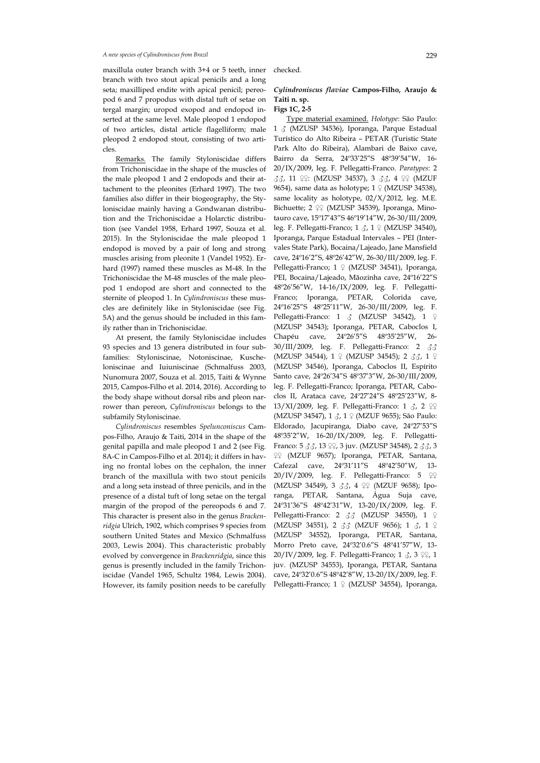maxillula outer branch with 3+4 or 5 teeth, inner branch with two stout apical penicils and a long seta; maxilliped endite with apical penicil; pereopod 6 and 7 propodus with distal tuft of setae on tergal margin; uropod exopod and endopod inserted at the same level. Male pleopod 1 endopod of two articles, distal article flagelliform; male pleopod 2 endopod stout, consisting of two articles.

Remarks. The family Styloniscidae differs from Trichoniscidae in the shape of the muscles of the male pleopod 1 and 2 endopods and their attachment to the pleonites (Erhard 1997). The two families also differ in their biogeography, the Styloniscidae mainly having a Gondwanan distribution and the Trichoniscidae a Holarctic distribution (see Vandel 1958, Erhard 1997, Souza et al. 2015). In the Styloniscidae the male pleopod 1 endopod is moved by a pair of long and strong muscles arising from pleonite 1 (Vandel 1952). Erhard (1997) named these muscles as M-48. In the Trichoniscidae the M-48 muscles of the male pleopod 1 endopod are short and connected to the sternite of pleopod 1. In *Cylindroniscus* these muscles are definitely like in Styloniscidae (see Fig. 5A) and the genus should be included in this family rather than in Trichoniscidae.

At present, the family Styloniscidae includes 93 species and 13 genera distributed in four subfamilies: Styloniscinae, Notoniscinae, Kuscheloniscinae and Iuiuniscinae (Schmalfuss 2003, Nunomura 2007, Souza et al. 2015, Taiti & Wynne 2015, Campos-Filho et al. 2014, 2016). According to the body shape without dorsal ribs and pleon narrower than pereon, *Cylindroniscus* belongs to the subfamily Styloniscinae.

*Cylindroniscus* resembles *Spelunconiscus* Campos-Filho, Araujo & Taiti, 2014 in the shape of the genital papilla and male pleopod 1 and 2 (see Fig. 8A-C in Campos-Filho et al. 2014); it differs in having no frontal lobes on the cephalon, the inner branch of the maxillula with two stout penicils and a long seta instead of three penicils, and in the presence of a distal tuft of long setae on the tergal margin of the propod of the pereopods 6 and 7. This character is present also in the genus *Brackenridgia* Ulrich, 1902, which comprises 9 species from southern United States and Mexico (Schmalfuss 2003, Lewis 2004). This characteristic probably evolved by convergence in *Brackenridgia*, since this genus is presently included in the family Trichoniscidae (Vandel 1965, Schultz 1984, Lewis 2004). However, its family position needs to be carefully checked.

## *Cylindroniscus flaviae* **Campos-Filho, Araujo & Taiti n. sp.**

### **Figs 1C, 2-5**

Type material examined. *Holotype*: São Paulo: 1 ♂ (MZUSP 34536), Iporanga, Parque Estadual Turístico do Alto Ribeira – PETAR (Turistic State Park Alto do Ribeira), Alambari de Baixo cave, Bairro da Serra, 24º33'25"S 48º39'54"W, 16- 20/IX/2009, leg. F. Pellegatti-Franco. *Paratypes*: 2 ♂♂, 11 ♀♀: (MZUSP 34537), 3 ♂♂, 4 ♀♀ (MZUF 9654), same data as holotype;  $1 \nsubseteq (MZUSP 34538)$ , same locality as holotype, 02/X/2012, leg. M.E. Bichuette; 2 ♀♀ (MZUSP 34539), Iporanga, Minotauro cave, 15º17'43"S 46º19'14"W, 26-30/III/2009, leg. F. Pellegatti-Franco; 1  $\zeta$ , 1  $\varphi$  (MZUSP 34540), Iporanga, Parque Estadual Intervales – PEI (Intervales State Park), Bocaina/Lajeado, Jane Mansfield cave, 24º16'2"S, 48º26'42"W, 26-30/III/2009, leg. F. Pellegatti-Franco; 1 ♀ (MZUSP 34541), Iporanga, PEI, Bocaina/Lajeado, Mãozinha cave, 24º16'22"S 48º26'56"W, 14-16/IX/2009, leg. F. Pellegatti-Franco; Iporanga, PETAR, Colorida cave, 24º16'25"S 48º25'11"W, 26-30/III/2009, leg. F. Pellegatti-Franco: 1 ♂ (MZUSP 34542), 1 ♀ (MZUSP 34543); Iporanga, PETAR, Caboclos I, Chapéu cave, 24º26'5"S 48º35'25"W, 26- 30/III/2009, leg. F. Pellegatti-Franco: 2 ♂♂ (MZUSP 34544), 1 ♀ (MZUSP 34545); 2 ♂♂, 1 ♀ (MZUSP 34546), Iporanga, Caboclos II, Espírito Santo cave, 24º26'34"S 48º37'3"W, 26-30/III/2009, leg. F. Pellegatti-Franco; Iporanga, PETAR, Caboclos II, Arataca cave, 24º27'24"S 48º25'23"W, 8- 13/XI/2009, leg. F. Pellegatti-Franco: 1 3, 2 ♀♀ (MZUSP 34547), 1 ♂, 1 ♀ (MZUF 9655); São Paulo: Eldorado, Jacupiranga, Diabo cave, 24º27'53"S 48º35'2"W, 16-20/IX/2009, leg. F. Pellegatti-Franco: 5 33, 13 99, 3 juv. (MZUSP 34548), 2 33, 3 ♀♀ (MZUF 9657); Iporanga, PETAR, Santana, Cafezal cave, 24º31'11"S 48º42'50"W, 13- 20/IV/2009, leg. F. Pellegatti-Franco: 5 ♀♀ (MZUSP 34549), 3 ♂♂, 4 ♀♀ (MZUF 9658); Iporanga, PETAR, Santana, Água Suja cave, 24º31'36"S 48º42'31"W, 13-20/IX/2009, leg. F. Pellegatti-Franco: 2 33 (MZUSP 34550), 1 ♀ (MZUSP 34551), 2 ♂♂ (MZUF 9656); 1 ♂, 1 ♀ (MZUSP 34552), Iporanga, PETAR, Santana, Morro Preto cave, 24º32'0.6"S 48º41'57"W, 13- 20/IV/2009, leg. F. Pellegatti-Franco; 1 3, 3 ♀♀, 1 juv. (MZUSP 34553), Iporanga, PETAR, Santana cave, 24º32'0.6"S 48º42'8"W, 13-20/IX/2009, leg. F. Pellegatti-Franco; 1 ♀ (MZUSP 34554), Iporanga,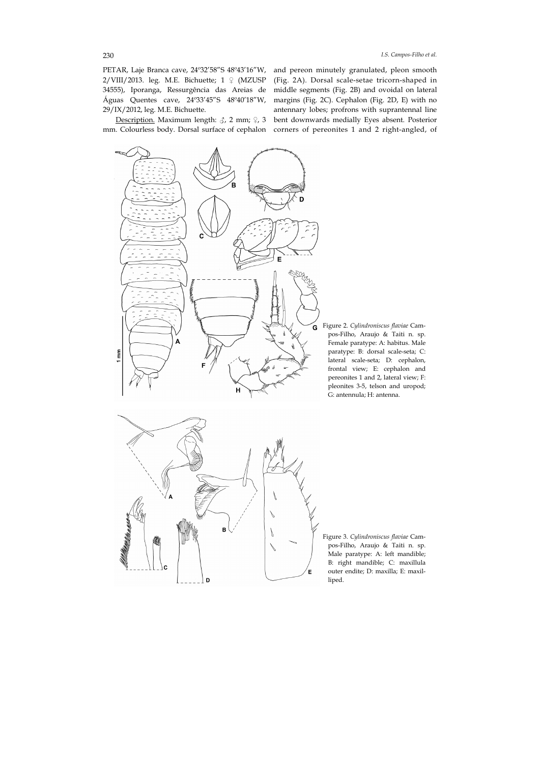PETAR, Laje Branca cave, 24º32'58"S 48º43'16"W, 2/VIII/2013. leg. M.E. Bichuette;  $1 \nsubseteq (MZUSP)$ 34555), Iporanga, Ressurgência das Areias de Águas Quentes cave, 24º33'45"S 48º40'18"W, 29/IX/2012, leg. M.E. Bichuette.

Description. Maximum length: ♂, 2 mm; ♀, 3 bent downwards medially Eyes absent. Posterior mm. Colourless body. Dorsal surface of cephalon corners of pereonites 1 and 2 right-angled, of and pereon minutely granulated, pleon smooth (Fig. 2A). Dorsal scale-setae tricorn-shaped in middle segments (Fig. 2B) and ovoidal on lateral margins (Fig. 2C). Cephalon (Fig. 2D, E) with no antennary lobes; profrons with suprantennal line



Figure 2. *Cylindroniscus flaviae* Campos-Filho, Araujo & Taiti n. sp. Female paratype: A: habitus. Male paratype: B: dorsal scale-seta; C: lateral scale-seta; D: cephalon, frontal view; E: cephalon and pereonites 1 and 2, lateral view; F: pleonites 3-5, telson and uropod; G: antennula; H: antenna.



Figure 3. *Cylindroniscus flaviae* Campos-Filho, Araujo & Taiti n. sp. Male paratype: A: left mandible; B: right mandible; C: maxillula outer endite; D: maxilla; E: maxilliped.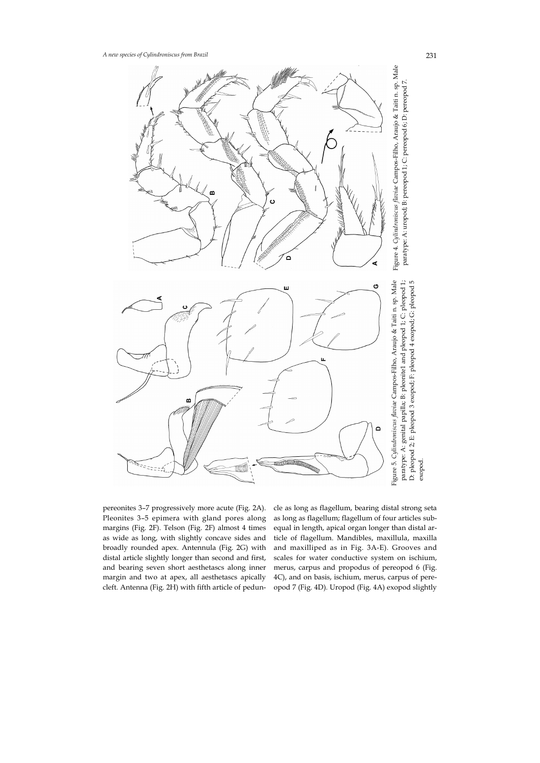

pereonites 3–7 progressively more acute (Fig. 2A). Pleonites 3–5 epimera with gland pores along margins (Fig. 2F). Telson (Fig. 2F) almost 4 times as wide as long, with slightly concave sides and broadly rounded apex. Antennula (Fig. 2G) with distal article slightly longer than second and first, and bearing seven short aesthetascs along inner margin and two at apex, all aesthetascs apically cleft. Antenna (Fig. 2H) with fifth article of peduncle as long as flagellum, bearing distal strong seta as long as flagellum; flagellum of four articles subequal in length, apical organ longer than distal article of flagellum. Mandibles, maxillula, maxilla and maxilliped as in Fig. 3A-E). Grooves and scales for water conductive system on ischium, merus, carpus and propodus of pereopod 6 (Fig. 4C), and on basis, ischium, merus, carpus of pere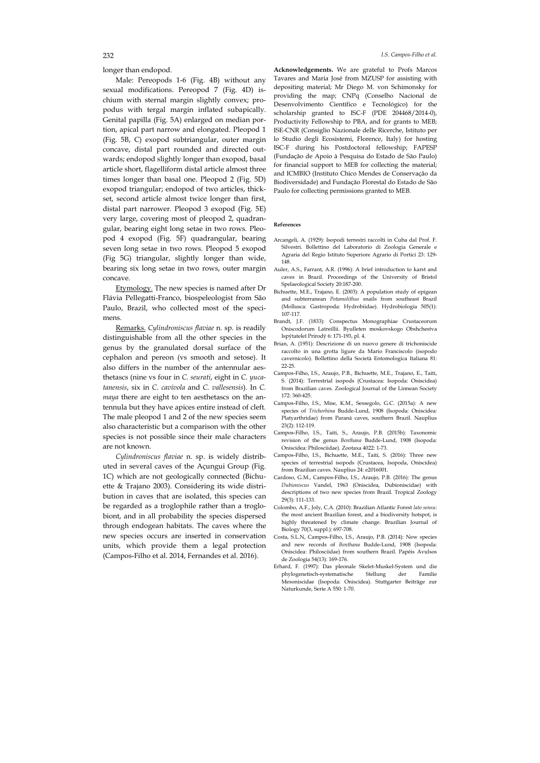longer than endopod.

Male: Pereopods 1-6 (Fig. 4B) without any sexual modifications. Pereopod 7 (Fig. 4D) ischium with sternal margin slightly convex; propodus with tergal margin inflated subapically. Genital papilla (Fig. 5A) enlarged on median portion, apical part narrow and elongated. Pleopod 1 (Fig. 5B, C) exopod subtriangular, outer margin concave, distal part rounded and directed outwards; endopod slightly longer than exopod, basal article short, flagelliform distal article almost three times longer than basal one. Pleopod 2 (Fig. 5D) exopod triangular; endopod of two articles, thickset, second article almost twice longer than first, distal part narrower. Pleopod 3 exopod (Fig. 5E) very large, covering most of pleopod 2, quadrangular, bearing eight long setae in two rows. Pleopod 4 exopod (Fig. 5F) quadrangular, bearing seven long setae in two rows. Pleopod 5 exopod (Fig 5G) triangular, slightly longer than wide, bearing six long setae in two rows, outer margin concave.

Etymology. The new species is named after Dr Flávia Pellegatti-Franco, biospeleologist from São Paulo, Brazil, who collected most of the specimens.

Remarks. *Cylindroniscus flaviae* n. sp. is readily distinguishable from all the other species in the genus by the granulated dorsal surface of the cephalon and pereon (vs smooth and setose). It also differs in the number of the antennular aesthetascs (nine vs four in *C. seurati*, eight in *C. yucatanensis*, six in *C. cavivola* and *C. vallesensis*). In *C. maya* there are eight to ten aesthetascs on the antennula but they have apices entire instead of cleft. The male pleopod 1 and 2 of the new species seem also characteristic but a comparison with the other species is not possible since their male characters are not known.

*Cylindroniscus flaviae* n. sp. is widely distributed in several caves of the Açungui Group (Fig. 1C) which are not geologically connected (Bichuette & Trajano 2003). Considering its wide distribution in caves that are isolated, this species can be regarded as a troglophile rather than a troglobiont, and in all probability the species dispersed through endogean habitats. The caves where the new species occurs are inserted in conservation units, which provide them a legal protection (Campos-Filho et al. 2014, Fernandes et al. 2016).

**Acknowledgements.** We are grateful to Profs Marcos Tavares and Maria José from MZUSP for assisting with depositing material; Mr Diego M. von Schimonsky for providing the map; CNPq (Conselho Nacional de Desenvolvimento Científico e Tecnológico) for the scholarship granted to ISC-F (PDE 204468/2014-0), Productivity Fellowship to PBA, and for grants to MEB; ISE-CNR (Consiglio Nazionale delle Ricerche, Istituto per lo Studio degli Ecosistemi, Florence, Italy) for hosting ISC-F during his Postdoctoral fellowship; FAPESP (Fundação de Apoio à Pesquisa do Estado de São Paulo) for financial support to MEB for collecting the material; and ICMBIO (Instituto Chico Mendes de Conservação da Biodiversidade) and Fundação Florestal do Estado de São Paulo for collecting permissions granted to MEB.

#### **References**

- Arcangeli, A. (1929): Isopodi terrestri raccolti in Cuba dal Prof. F. Silvestri. Bollettino del Laboratorio di Zoologia Generale e Agraria del Regio Istituto Superiore Agrario di Portici 23: 129- 148.
- Auler, A.S., Farrant, A.R. (1996): A brief introduction to karst and caves in Brazil. Proceedings of the University of Bristol Spelaeological Society 20:187-200.
- Bichuette, M.E., Trajano, E. (2003): A population study of epigean and subterranean *Potamolithus* snails from southeast Brazil (Mollusca: Gastropoda: Hydrobiidae). Hydrobiologia 505(1): 107-117.
- Brandt, J.F. (1833): Conspectus Monographiae Crustaceorum Oniscodorum Latreillii. Byulleten moskovskogo Obshchestva Ispŷtateleĭ Prirodŷ 6: 171-193, pl. 4.
- Brian, A. (1951): Descrizione di un nuovo genere di trichoniscide raccolto in una grotta ligure da Mario Franciscolo (isopodo cavernicolo). Bollettino della Società Entomologica Italiana 81: 22-25.
- Campos-Filho, I.S., Araujo, P.B., Bichuette, M.E., Trajano, E., Taiti, S. (2014): Terrestrial isopods (Crustacea: Isopoda: Oniscidea) from Brazilian caves. Zoological Journal of the Linnean Society 172: 360-425.
- Campos-Filho, I.S., Mise, K.M., Sessegolo, G.C. (2015a): A new species of *Trichorhina* Budde-Lund, 1908 (Isopoda: Oniscidea: Platyarthridae) from Paraná caves, southern Brazil. Nauplius 23(2): 112-119.
- Campos-Filho, I.S., Taiti, S., Araujo, P.B. (2015b): Taxonomic revision of the genus *Benthana* Budde-Lund, 1908 (Isopoda: Oniscidea: Philosciidae). Zootaxa 4022: 1-73.
- Campos-Filho, I.S., Bichuette, M.E., Taiti, S. (2016): Three new species of terrestrial isopods (Crustacea, Isopoda, Oniscidea) from Brazilian caves. Nauplius 24: e2016001.
- Cardoso, G.M., Campos-Filho, I.S., Araujo, P.B. (2016): The genus *Dubioniscus* Vandel, 1963 (Oniscidea, Dubioniscidae) with descriptions of two new species from Brazil. Tropical Zoology 29(3): 111-133.
- Colombo, A.F., Joly, C.A. (2010): Brazilian Atlantic Forest *lato sensu*: the most ancient Brazilian forest, and a biodiversity hotspot, is highly threatened by climate change. Brazilian Journal of Biology 70(3, suppl.): 697-708.
- Costa, S.L.N, Campos-Filho, I.S., Araujo, P.B. (2014): New species and new records of *Benthana* Budde-Lund, 1908 (Isopoda: Oniscidea: Philosciidae) from southern Brazil. Papéis Avulsos de Zoologia 54(13): 169-176.
- Erhard, F. (1997): Das pleonale Skelet-Muskel-System und die phylogenetisch-systematische Stellung der Familie Mesoniscidae (Isopoda: Oniscidea). Stuttgarter Beiträge zur Naturkunde, Serie A 550: 1-70.